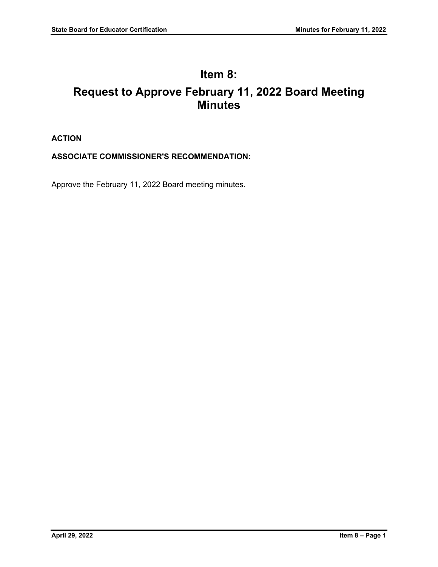# **Item 8: Request to Approve February 11, 2022 Board Meeting Minutes**

# **ACTION**

# **ASSOCIATE COMMISSIONER'S RECOMMENDATION:**

Approve the February 11, 2022 Board meeting minutes.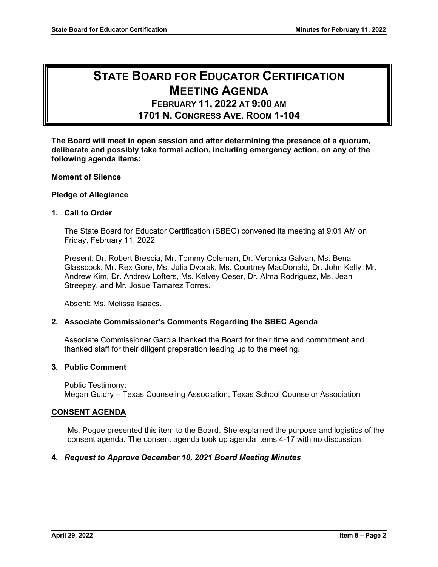# **STATE BOARD FOR EDUCATOR CERTIFICATION MEETING AGENDA**

 **FEBRUARY 11, 2022 AT 9:00 AM 1701 N. CONGRESS AVE. ROOM 1-104** 

**The Board will meet in open session and after determining the presence of a quorum, deliberate and possibly take formal action, including emergency action, on any of the following agenda items:** 

# **Moment of Silence**

# **Pledge of Allegiance**

# **1. Call to Order**

The State Board for Educator Certification (SBEC) convened its meeting at 9:01 AM on Friday, February 11, 2022.

Present: Dr. Robert Brescia, Mr. Tommy Coleman, Dr. Veronica Galvan, Ms. Bena Glasscock, Mr. Rex Gore, Ms. Julia Dvorak, Ms. Courtney MacDonald, Dr. John Kelly, Mr. Andrew Kim, Dr. Andrew Lofters, Ms. Kelvey Oeser, Dr. Alma Rodriguez, Ms. Jean Streepey, and Mr. Josue Tamarez Torres.

Absent: Ms. Melissa Isaacs.

# **2. Associate Commissioner's Comments Regarding the SBEC Agenda**

Associate Commissioner Garcia thanked the Board for their time and commitment and thanked staff for their diligent preparation leading up to the meeting.

# **3. Public Comment**

Public Testimony: Megan Guidry – Texas Counseling Association, Texas School Counselor Association

#### **CONSENT AGENDA**

Ms. Pogue presented this item to the Board. She explained the purpose and logistics of the consent agenda. The consent agenda took up agenda items 4-17 with no discussion.

# **4.** *Request to Approve December 10, 2021 Board Meeting Minutes*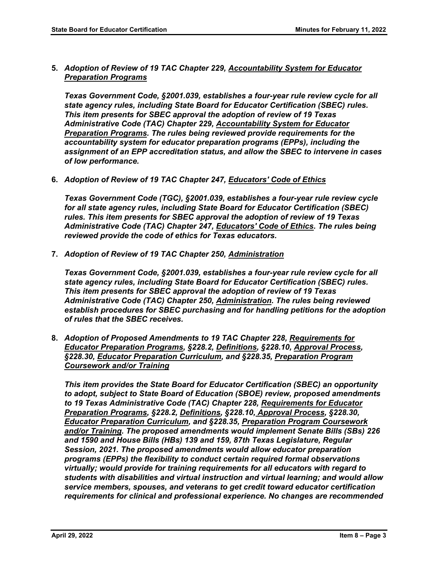**5.** *Adoption of Review of 19 TAC Chapter 229, Accountability System for Educator Preparation Programs* 

*Texas Government Code, §2001.039, establishes a four-year rule review cycle for all state agency rules, including State Board for Educator Certification (SBEC) rules. This item presents for SBEC approval the adoption of review of 19 Texas Administrative Code (TAC) Chapter 229, Accountability System for Educator Preparation Programs. The rules being reviewed provide requirements for the accountability system for educator preparation programs (EPPs), including the assignment of an EPP accreditation status, and allow the SBEC to intervene in cases of low performance.* 

**6.** *Adoption of Review of 19 TAC Chapter 247, Educators' Code of Ethics* 

*Texas Government Code (TGC), §2001.039, establishes a four-year rule review cycle for all state agency rules, including State Board for Educator Certification (SBEC) rules. This item presents for SBEC approval the adoption of review of 19 Texas Administrative Code (TAC) Chapter 247, Educators' Code of Ethics. The rules being reviewed provide the code of ethics for Texas educators.* 

**7.** *Adoption of Review of 19 TAC Chapter 250, Administration* 

*Texas Government Code, §2001.039, establishes a four-year rule review cycle for all state agency rules, including State Board for Educator Certification (SBEC) rules. This item presents for SBEC approval the adoption of review of 19 Texas Administrative Code (TAC) Chapter 250, Administration. The rules being reviewed establish procedures for SBEC purchasing and for handling petitions for the adoption of rules that the SBEC receives.* 

**8.** *Adoption of Proposed Amendments to 19 TAC Chapter 228, Requirements for Educator Preparation Programs, §228.2, Definitions, §228.10, Approval Process, §228.30, Educator Preparation Curriculum, and §228.35, Preparation Program Coursework and/or Training* 

*This item provides the State Board for Educator Certification (SBEC) an opportunity to adopt, subject to State Board of Education (SBOE) review, proposed amendments to 19 Texas Administrative Code (TAC) Chapter 228, Requirements for Educator Preparation Programs, §228.2, Definitions, §228.10, Approval Process, §228.30, Educator Preparation Curriculum, and §228.35, Preparation Program Coursework and/or Training. The proposed amendments would implement Senate Bills (SBs) 226 and 1590 and House Bills (HBs) 139 and 159, 87th Texas Legislature, Regular Session, 2021. The proposed amendments would allow educator preparation programs (EPPs) the flexibility to conduct certain required formal observations virtually; would provide for training requirements for all educators with regard to students with disabilities and virtual instruction and virtual learning; and would allow service members, spouses, and veterans to get credit toward educator certification requirements for clinical and professional experience. No changes are recommended*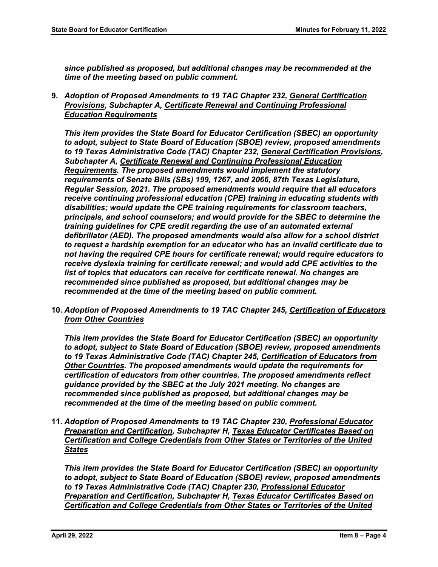*since published as proposed, but additional changes may be recommended at the time of the meeting based on public comment.* 

**9.** *Adoption of Proposed Amendments to 19 TAC Chapter 232, General Certification Provisions, Subchapter A, Certificate Renewal and Continuing Professional Education Requirements* 

*This item provides the State Board for Educator Certification (SBEC) an opportunity to adopt, subject to State Board of Education (SBOE) review, proposed amendments to 19 Texas Administrative Code (TAC) Chapter 232, General Certification Provisions, Subchapter A, Certificate Renewal and Continuing Professional Education Requirements. The proposed amendments would implement the statutory requirements of Senate Bills (SBs) 199, 1267, and 2066, 87th Texas Legislature, Regular Session, 2021. The proposed amendments would require that all educators receive continuing professional education (CPE) training in educating students with disabilities; would update the CPE training requirements for classroom teachers, principals, and school counselors; and would provide for the SBEC to determine the training guidelines for CPE credit regarding the use of an automated external defibrillator (AED). The proposed amendments would also allow for a school district to request a hardship exemption for an educator who has an invalid certificate due to not having the required CPE hours for certificate renewal; would require educators to receive dyslexia training for certificate renewal; and would add CPE activities to the list of topics that educators can receive for certificate renewal. No changes are recommended since published as proposed, but additional changes may be recommended at the time of the meeting based on public comment.* 

**10.** *Adoption of Proposed Amendments to 19 TAC Chapter 245, Certification of Educators from Other Countries* 

*This item provides the State Board for Educator Certification (SBEC) an opportunity to adopt, subject to State Board of Education (SBOE) review, proposed amendments to 19 Texas Administrative Code (TAC) Chapter 245, Certification of Educators from Other Countries. The proposed amendments would update the requirements for certification of educators from other countries. The proposed amendments reflect guidance provided by the SBEC at the July 2021 meeting. No changes are recommended since published as proposed, but additional changes may be recommended at the time of the meeting based on public comment.* 

**11.** *Adoption of Proposed Amendments to 19 TAC Chapter 230, Professional Educator Preparation and Certification, Subchapter H, Texas Educator Certificates Based on Certification and College Credentials from Other States or Territories of the United States* 

*This item provides the State Board for Educator Certification (SBEC) an opportunity to adopt, subject to State Board of Education (SBOE) review, proposed amendments to 19 Texas Administrative Code (TAC) Chapter 230, Professional Educator Preparation and Certification, Subchapter H, Texas Educator Certificates Based on Certification and College Credentials from Other States or Territories of the United*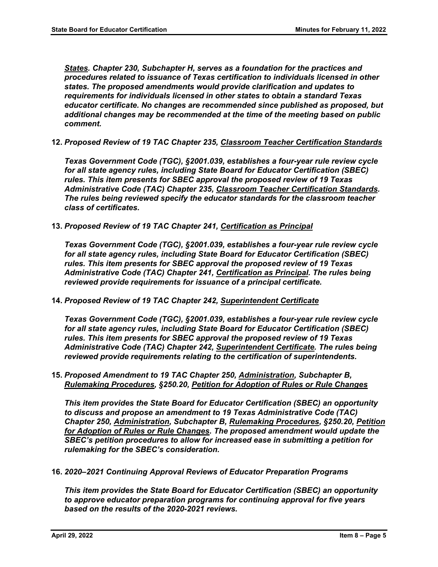*States. Chapter 230, Subchapter H, serves as a foundation for the practices and procedures related to issuance of Texas certification to individuals licensed in other states. The proposed amendments would provide clarification and updates to requirements for individuals licensed in other states to obtain a standard Texas educator certificate. No changes are recommended since published as proposed, but additional changes may be recommended at the time of the meeting based on public comment.* 

**12.** *Proposed Review of 19 TAC Chapter 235, Classroom Teacher Certification Standards* 

*Texas Government Code (TGC), §2001.039, establishes a four-year rule review cycle for all state agency rules, including State Board for Educator Certification (SBEC) rules. This item presents for SBEC approval the proposed review of 19 Texas Administrative Code (TAC) Chapter 235, Classroom Teacher Certification Standards. The rules being reviewed specify the educator standards for the classroom teacher class of certificates.* 

**13.** *Proposed Review of 19 TAC Chapter 241, Certification as Principal* 

*Texas Government Code (TGC), §2001.039, establishes a four-year rule review cycle for all state agency rules, including State Board for Educator Certification (SBEC) rules. This item presents for SBEC approval the proposed review of 19 Texas Administrative Code (TAC) Chapter 241, Certification as Principal. The rules being reviewed provide requirements for issuance of a principal certificate.* 

**14.** *Proposed Review of 19 TAC Chapter 242, Superintendent Certificate* 

*Texas Government Code (TGC), §2001.039, establishes a four-year rule review cycle for all state agency rules, including State Board for Educator Certification (SBEC) rules. This item presents for SBEC approval the proposed review of 19 Texas Administrative Code (TAC) Chapter 242, Superintendent Certificate. The rules being reviewed provide requirements relating to the certification of superintendents.* 

**15.** *Proposed Amendment to 19 TAC Chapter 250, Administration, Subchapter B, Rulemaking Procedures, §250.20, Petition for Adoption of Rules or Rule Changes* 

*This item provides the State Board for Educator Certification (SBEC) an opportunity to discuss and propose an amendment to 19 Texas Administrative Code (TAC) Chapter 250, Administration, Subchapter B, Rulemaking Procedures, §250.20, Petition for Adoption of Rules or Rule Changes. The proposed amendment would update the SBEC's petition procedures to allow for increased ease in submitting a petition for rulemaking for the SBEC's consideration.* 

**16.** *2020–2021 Continuing Approval Reviews of Educator Preparation Programs* 

*This item provides the State Board for Educator Certification (SBEC) an opportunity to approve educator preparation programs for continuing approval for five years based on the results of the 2020-2021 reviews.*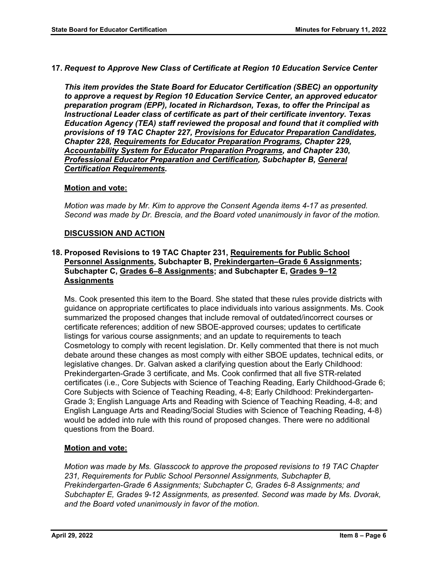**17.** *Request to Approve New Class of Certificate at Region 10 Education Service Center* 

*This item provides the State Board for Educator Certification (SBEC) an opportunity to approve a request by Region 10 Education Service Center, an approved educator preparation program (EPP), located in Richardson, Texas, to offer the Principal as Instructional Leader class of certificate as part of their certificate inventory. Texas Education Agency (TEA) staff reviewed the proposal and found that it complied with provisions of 19 TAC Chapter 227, Provisions for Educator Preparation Candidates, Chapter 228, Requirements for Educator Preparation Programs, Chapter 229, Accountability System for Educator Preparation Programs, and Chapter 230, Professional Educator Preparation and Certification, Subchapter B, General Certification Requirements.* 

# **Motion and vote:**

*Motion was made by Mr. Kim to approve the Consent Agenda items 4-17 as presented. Second was made by Dr. Brescia, and the Board voted unanimously in favor of the motion.* 

# **DISCUSSION AND ACTION**

# **18. Proposed Revisions to 19 TAC Chapter 231, Requirements for Public School Personnel Assignments, Subchapter B, Prekindergarten–Grade 6 Assignments; Subchapter C, Grades 6–8 Assignments; and Subchapter E, Grades 9–12 Assignments**

Ms. Cook presented this item to the Board. She stated that these rules provide districts with guidance on appropriate certificates to place individuals into various assignments. Ms. Cook summarized the proposed changes that include removal of outdated/incorrect courses or certificate references; addition of new SBOE-approved courses; updates to certificate listings for various course assignments; and an update to requirements to teach Cosmetology to comply with recent legislation. Dr. Kelly commented that there is not much debate around these changes as most comply with either SBOE updates, technical edits, or legislative changes. Dr. Galvan asked a clarifying question about the Early Childhood: Prekindergarten-Grade 3 certificate, and Ms. Cook confirmed that all five STR-related certificates (i.e., Core Subjects with Science of Teaching Reading, Early Childhood-Grade 6; Core Subjects with Science of Teaching Reading, 4-8; Early Childhood: Prekindergarten-Grade 3; English Language Arts and Reading with Science of Teaching Reading, 4-8; and English Language Arts and Reading/Social Studies with Science of Teaching Reading, 4-8) would be added into rule with this round of proposed changes. There were no additional questions from the Board.

# **Motion and vote:**

*Motion was made by Ms. Glasscock to approve the proposed revisions to 19 TAC Chapter 231, Requirements for Public School Personnel Assignments, Subchapter B, Prekindergarten-Grade 6 Assignments; Subchapter C, Grades 6-8 Assignments; and Subchapter E, Grades 9-12 Assignments, as presented. Second was made by Ms. Dvorak, and the Board voted unanimously in favor of the motion.*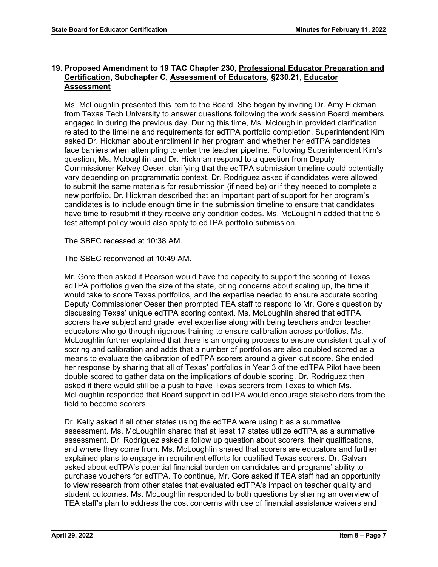# **19. Proposed Amendment to 19 TAC Chapter 230, Professional Educator Preparation and Certification, Subchapter C, Assessment of Educators, §230.21, Educator Assessment**

Ms. McLoughlin presented this item to the Board. She began by inviting Dr. Amy Hickman from Texas Tech University to answer questions following the work session Board members engaged in during the previous day. During this time, Ms. Mcloughlin provided clarification related to the timeline and requirements for edTPA portfolio completion. Superintendent Kim asked Dr. Hickman about enrollment in her program and whether her edTPA candidates face barriers when attempting to enter the teacher pipeline. Following Superintendent Kim's question, Ms. Mcloughlin and Dr. Hickman respond to a question from Deputy Commissioner Kelvey Oeser, clarifying that the edTPA submission timeline could potentially vary depending on programmatic context. Dr. Rodriguez asked if candidates were allowed to submit the same materials for resubmission (if need be) or if they needed to complete a new portfolio. Dr. Hickman described that an important part of support for her program's candidates is to include enough time in the submission timeline to ensure that candidates have time to resubmit if they receive any condition codes. Ms. McLoughlin added that the 5 test attempt policy would also apply to edTPA portfolio submission.

The SBEC recessed at 10:38 AM.

The SBEC reconvened at 10:49 AM.

Mr. Gore then asked if Pearson would have the capacity to support the scoring of Texas edTPA portfolios given the size of the state, citing concerns about scaling up, the time it would take to score Texas portfolios, and the expertise needed to ensure accurate scoring. Deputy Commissioner Oeser then prompted TEA staff to respond to Mr. Gore's question by discussing Texas' unique edTPA scoring context. Ms. McLoughlin shared that edTPA scorers have subject and grade level expertise along with being teachers and/or teacher educators who go through rigorous training to ensure calibration across portfolios. Ms. McLoughlin further explained that there is an ongoing process to ensure consistent quality of scoring and calibration and adds that a number of portfolios are also doubled scored as a means to evaluate the calibration of edTPA scorers around a given cut score. She ended her response by sharing that all of Texas' portfolios in Year 3 of the edTPA Pilot have been double scored to gather data on the implications of double scoring. Dr. Rodriguez then asked if there would still be a push to have Texas scorers from Texas to which Ms. McLoughlin responded that Board support in edTPA would encourage stakeholders from the field to become scorers.

Dr. Kelly asked if all other states using the edTPA were using it as a summative assessment. Ms. McLoughlin shared that at least 17 states utilize edTPA as a summative assessment. Dr. Rodriguez asked a follow up question about scorers, their qualifications, and where they come from. Ms. McLoughlin shared that scorers are educators and further explained plans to engage in recruitment efforts for qualified Texas scorers. Dr. Galvan asked about edTPA's potential financial burden on candidates and programs' ability to purchase vouchers for edTPA. To continue, Mr. Gore asked if TEA staff had an opportunity to view research from other states that evaluated edTPA's impact on teacher quality and student outcomes. Ms. McLoughlin responded to both questions by sharing an overview of TEA staff's plan to address the cost concerns with use of financial assistance waivers and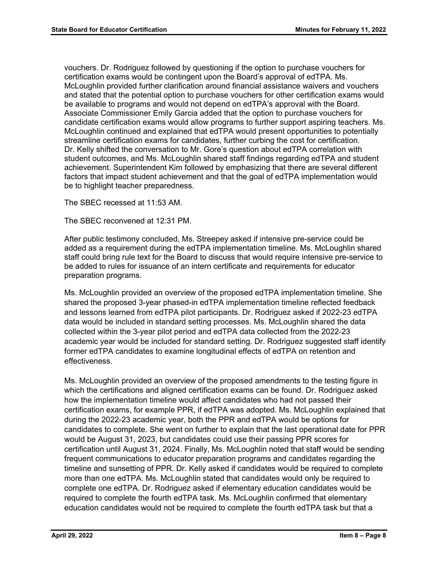vouchers. Dr. Rodriguez followed by questioning if the option to purchase vouchers for certification exams would be contingent upon the Board's approval of edTPA. Ms. McLoughlin provided further clarification around financial assistance waivers and vouchers and stated that the potential option to purchase vouchers for other certification exams would be available to programs and would not depend on edTPA's approval with the Board. Associate Commissioner Emily Garcia added that the option to purchase vouchers for candidate certification exams would allow programs to further support aspiring teachers. Ms. McLoughlin continued and explained that edTPA would present opportunities to potentially streamline certification exams for candidates, further curbing the cost for certification. Dr. Kelly shifted the conversation to Mr. Gore's question about edTPA correlation with student outcomes, and Ms. McLoughlin shared staff findings regarding edTPA and student achievement. Superintendent Kim followed by emphasizing that there are several different factors that impact student achievement and that the goal of edTPA implementation would be to highlight teacher preparedness.

The SBEC recessed at 11:53 AM.

The SBEC reconvened at 12:31 PM.

After public testimony concluded, Ms. Streepey asked if intensive pre-service could be added as a requirement during the edTPA implementation timeline. Ms. McLoughlin shared staff could bring rule text for the Board to discuss that would require intensive pre-service to be added to rules for issuance of an intern certificate and requirements for educator preparation programs.

Ms. McLoughlin provided an overview of the proposed edTPA implementation timeline. She shared the proposed 3-year phased-in edTPA implementation timeline reflected feedback and lessons learned from edTPA pilot participants. Dr. Rodriguez asked if 2022-23 edTPA data would be included in standard setting processes. Ms. McLoughlin shared the data collected within the 3-year pilot period and edTPA data collected from the 2022-23 academic year would be included for standard setting. Dr. Rodriguez suggested staff identify former edTPA candidates to examine longitudinal effects of edTPA on retention and effectiveness.

Ms. McLoughlin provided an overview of the proposed amendments to the testing figure in which the certifications and aligned certification exams can be found. Dr. Rodriguez asked how the implementation timeline would affect candidates who had not passed their certification exams, for example PPR, if edTPA was adopted. Ms. McLoughlin explained that during the 2022-23 academic year, both the PPR and edTPA would be options for candidates to complete. She went on further to explain that the last operational date for PPR would be August 31, 2023, but candidates could use their passing PPR scores for certification until August 31, 2024. Finally, Ms. McLoughlin noted that staff would be sending frequent communications to educator preparation programs and candidates regarding the timeline and sunsetting of PPR. Dr. Kelly asked if candidates would be required to complete more than one edTPA. Ms. McLoughlin stated that candidates would only be required to complete one edTPA. Dr. Rodriguez asked if elementary education candidates would be required to complete the fourth edTPA task. Ms. McLoughlin confirmed that elementary education candidates would not be required to complete the fourth edTPA task but that a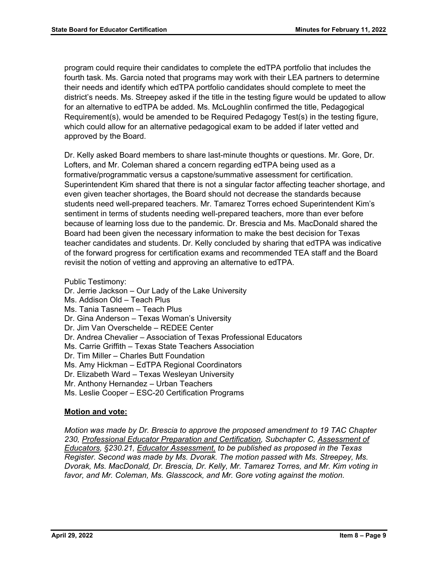program could require their candidates to complete the edTPA portfolio that includes the fourth task. Ms. Garcia noted that programs may work with their LEA partners to determine their needs and identify which edTPA portfolio candidates should complete to meet the district's needs. Ms. Streepey asked if the title in the testing figure would be updated to allow for an alternative to edTPA be added. Ms. McLoughlin confirmed the title, Pedagogical Requirement(s), would be amended to be Required Pedagogy Test(s) in the testing figure, which could allow for an alternative pedagogical exam to be added if later vetted and approved by the Board.

Dr. Kelly asked Board members to share last-minute thoughts or questions. Mr. Gore, Dr. Lofters, and Mr. Coleman shared a concern regarding edTPA being used as a formative/programmatic versus a capstone/summative assessment for certification. Superintendent Kim shared that there is not a singular factor affecting teacher shortage, and even given teacher shortages, the Board should not decrease the standards because students need well-prepared teachers. Mr. Tamarez Torres echoed Superintendent Kim's sentiment in terms of students needing well-prepared teachers, more than ever before because of learning loss due to the pandemic. Dr. Brescia and Ms. MacDonald shared the Board had been given the necessary information to make the best decision for Texas teacher candidates and students. Dr. Kelly concluded by sharing that edTPA was indicative of the forward progress for certification exams and recommended TEA staff and the Board revisit the notion of vetting and approving an alternative to edTPA.

Public Testimony: Dr. Jerrie Jackson – Our Lady of the Lake University Ms. Addison Old – Teach Plus Ms. Tania Tasneem – Teach Plus Dr. Gina Anderson – Texas Woman's University Dr. Jim Van Overschelde – REDEE Center Dr. Andrea Chevalier – Association of Texas Professional Educators Ms. Carrie Griffith – Texas State Teachers Association Dr. Tim Miller – Charles Butt Foundation Ms. Amy Hickman – EdTPA Regional Coordinators Dr. Elizabeth Ward – Texas Wesleyan University Mr. Anthony Hernandez – Urban Teachers Ms. Leslie Cooper – ESC-20 Certification Programs

# **Motion and vote:**

*Motion was made by Dr. Brescia to approve the proposed amendment to 19 TAC Chapter 230, Professional Educator Preparation and Certification, Subchapter C, Assessment of Educators, §230.21, Educator Assessment, to be published as proposed in the Texas Register. Second was made by Ms. Dvorak. The motion passed with Ms. Streepey, Ms. Dvorak, Ms. MacDonald, Dr. Brescia, Dr. Kelly, Mr. Tamarez Torres, and Mr. Kim voting in*  favor, and Mr. Coleman, Ms. Glasscock, and Mr. Gore voting against the motion.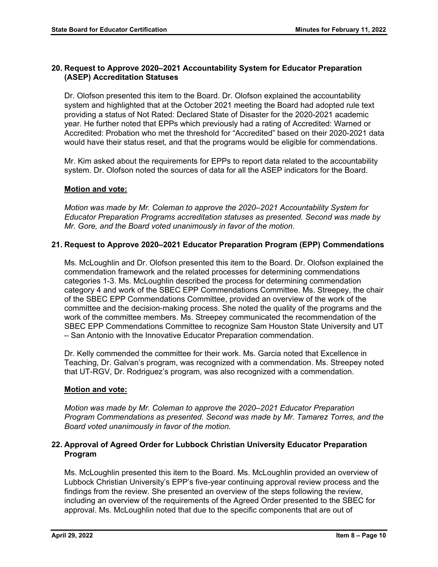# **20. Request to Approve 2020–2021 Accountability System for Educator Preparation (ASEP) Accreditation Statuses**

Dr. Olofson presented this item to the Board. Dr. Olofson explained the accountability system and highlighted that at the October 2021 meeting the Board had adopted rule text providing a status of Not Rated: Declared State of Disaster for the 2020-2021 academic year. He further noted that EPPs which previously had a rating of Accredited: Warned or Accredited: Probation who met the threshold for "Accredited" based on their 2020-2021 data would have their status reset, and that the programs would be eligible for commendations.

Mr. Kim asked about the requirements for EPPs to report data related to the accountability system. Dr. Olofson noted the sources of data for all the ASEP indicators for the Board.

# **Motion and vote:**

*Motion was made by Mr. Coleman to approve the 2020–2021 Accountability System for Educator Preparation Programs accreditation statuses as presented. Second was made by Mr. Gore, and the Board voted unanimously in favor of the motion.* 

# **21. Request to Approve 2020–2021 Educator Preparation Program (EPP) Commendations**

Ms. McLoughlin and Dr. Olofson presented this item to the Board. Dr. Olofson explained the commendation framework and the related processes for determining commendations categories 1-3. Ms. McLoughlin described the process for determining commendation category 4 and work of the SBEC EPP Commendations Committee. Ms. Streepey, the chair of the SBEC EPP Commendations Committee, provided an overview of the work of the committee and the decision-making process. She noted the quality of the programs and the work of the committee members. Ms. Streepey communicated the recommendation of the SBEC EPP Commendations Committee to recognize Sam Houston State University and UT – San Antonio with the Innovative Educator Preparation commendation.

Dr. Kelly commended the committee for their work. Ms. Garcia noted that Excellence in Teaching, Dr. Galvan's program, was recognized with a commendation. Ms. Streepey noted that UT-RGV, Dr. Rodriguez's program, was also recognized with a commendation.

# **Motion and vote:**

*Motion was made by Mr. Coleman to approve the 2020–2021 Educator Preparation Program Commendations as presented. Second was made by Mr. Tamarez Torres, and the Board voted unanimously in favor of the motion.* 

# **22. Approval of Agreed Order for Lubbock Christian University Educator Preparation Program**

Ms. McLoughlin presented this item to the Board. Ms. McLoughlin provided an overview of Lubbock Christian University's EPP's five-year continuing approval review process and the findings from the review. She presented an overview of the steps following the review, including an overview of the requirements of the Agreed Order presented to the SBEC for approval. Ms. McLoughlin noted that due to the specific components that are out of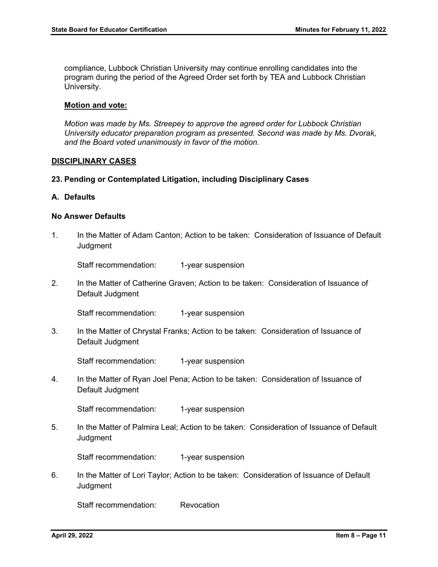compliance, Lubbock Christian University may continue enrolling candidates into the program during the period of the Agreed Order set forth by TEA and Lubbock Christian University.

#### **Motion and vote:**

*Motion was made by Ms. Streepey to approve the agreed order for Lubbock Christian University educator preparation program as presented. Second was made by Ms. Dvorak, and the Board voted unanimously in favor of the motion.* 

#### **DISCIPLINARY CASES**

#### **23. Pending or Contemplated Litigation, including Disciplinary Cases**

#### **A. Defaults**

#### **No Answer Defaults**

1. In the Matter of Adam Canton; Action to be taken: Consideration of Issuance of Default **Judgment** 

Staff recommendation: 1-year suspension

2. In the Matter of Catherine Graven; Action to be taken: Consideration of Issuance of Default Judgment

Staff recommendation: 1-year suspension

3. In the Matter of Chrystal Franks; Action to be taken: Consideration of Issuance of Default Judgment

Staff recommendation: 1-year suspension

4. In the Matter of Ryan Joel Pena; Action to be taken: Consideration of Issuance of Default Judgment

Staff recommendation: 1-year suspension

5. In the Matter of Palmira Leal; Action to be taken: Consideration of Issuance of Default **Judgment** 

Staff recommendation: 1-year suspension

6. In the Matter of Lori Taylor; Action to be taken: Consideration of Issuance of Default **Judgment** 

Staff recommendation: Revocation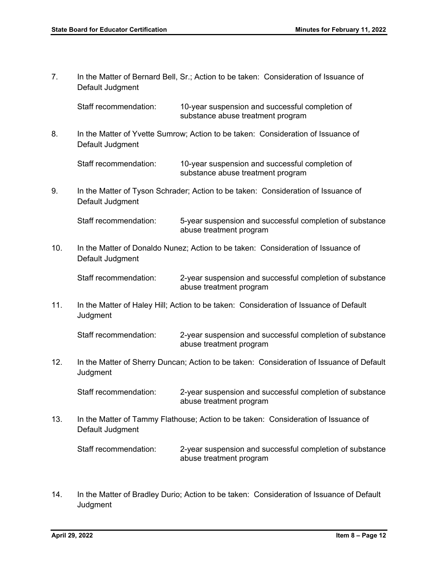7. In the Matter of Bernard Bell, Sr.; Action to be taken: Consideration of Issuance of Default Judgment

Staff recommendation: 10-year suspension and successful completion of substance abuse treatment program

8. In the Matter of Yvette Sumrow; Action to be taken: Consideration of Issuance of Default Judgment

Staff recommendation: 10-year suspension and successful completion of substance abuse treatment program

9. In the Matter of Tyson Schrader; Action to be taken: Consideration of Issuance of Default Judgment

Staff recommendation: 5-year suspension and successful completion of substance abuse treatment program

10. In the Matter of Donaldo Nunez; Action to be taken: Consideration of Issuance of Default Judgment

Staff recommendation: 2-year suspension and successful completion of substance abuse treatment program

11. In the Matter of Haley Hill; Action to be taken: Consideration of Issuance of Default **Judgment** 

Staff recommendation: 2-year suspension and successful completion of substance abuse treatment program

12. In the Matter of Sherry Duncan; Action to be taken: Consideration of Issuance of Default **Judgment** 

Staff recommendation: 2-year suspension and successful completion of substance abuse treatment program

13. In the Matter of Tammy Flathouse; Action to be taken: Consideration of Issuance of Default Judgment

Staff recommendation: 2-year suspension and successful completion of substance abuse treatment program

14. In the Matter of Bradley Durio; Action to be taken: Consideration of Issuance of Default **Judgment**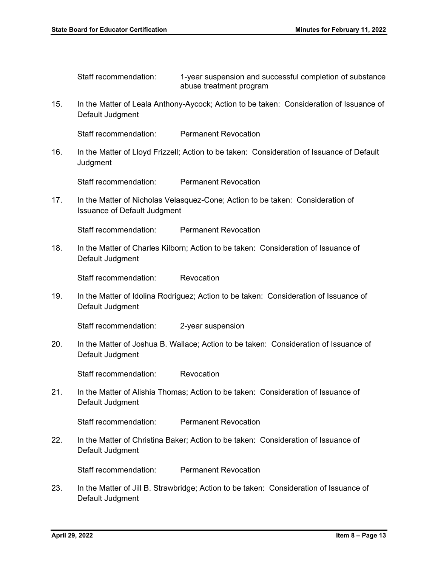Staff recommendation: 1-year suspension and successful completion of substance abuse treatment program

15. In the Matter of Leala Anthony-Aycock; Action to be taken: Consideration of Issuance of Default Judgment

Staff recommendation: Permanent Revocation

16. In the Matter of Lloyd Frizzell; Action to be taken: Consideration of Issuance of Default Judgment

Staff recommendation: Permanent Revocation

17. In the Matter of Nicholas Velasquez-Cone; Action to be taken: Consideration of Issuance of Default Judgment

Staff recommendation: Permanent Revocation

18. In the Matter of Charles Kilborn; Action to be taken: Consideration of Issuance of Default Judgment

Staff recommendation: Revocation

19. In the Matter of Idolina Rodriguez; Action to be taken: Consideration of Issuance of Default Judgment

Staff recommendation: 2-year suspension

20. In the Matter of Joshua B. Wallace; Action to be taken: Consideration of Issuance of Default Judgment

Staff recommendation: Revocation

21. In the Matter of Alishia Thomas; Action to be taken: Consideration of Issuance of Default Judgment

Staff recommendation: Permanent Revocation

22. In the Matter of Christina Baker; Action to be taken: Consideration of Issuance of Default Judgment

Staff recommendation: Permanent Revocation

23. In the Matter of Jill B. Strawbridge; Action to be taken: Consideration of Issuance of Default Judgment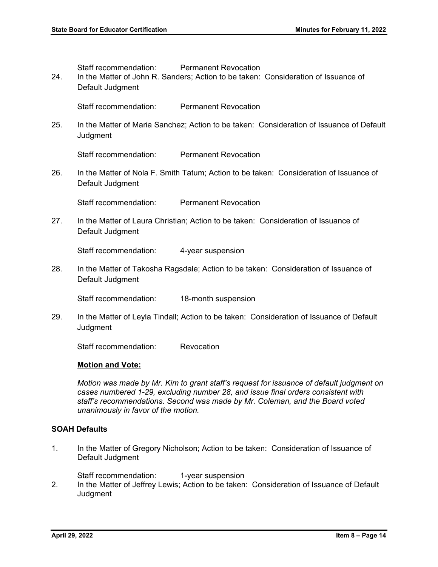Staff recommendation: Permanent Revocation

24. In the Matter of John R. Sanders; Action to be taken: Consideration of Issuance of Default Judgment

Staff recommendation: Permanent Revocation

25. In the Matter of Maria Sanchez; Action to be taken: Consideration of Issuance of Default **Judgment** 

Staff recommendation: Permanent Revocation

26. In the Matter of Nola F. Smith Tatum; Action to be taken: Consideration of Issuance of Default Judgment

Staff recommendation: Permanent Revocation

27. In the Matter of Laura Christian; Action to be taken: Consideration of Issuance of Default Judgment

Staff recommendation: 4-year suspension

28. In the Matter of Takosha Ragsdale; Action to be taken: Consideration of Issuance of Default Judgment

Staff recommendation: 18-month suspension

29. In the Matter of Leyla Tindall; Action to be taken: Consideration of Issuance of Default **Judgment** 

Staff recommendation: Revocation

# **Motion and Vote:**

*Motion was made by Mr. Kim to grant staff's request for issuance of default judgment on cases numbered 1-29, excluding number 28, and issue final orders consistent with staff's recommendations. Second was made by Mr. Coleman, and the Board voted unanimously in favor of the motion.* 

# **SOAH Defaults**

1. In the Matter of Gregory Nicholson; Action to be taken: Consideration of Issuance of Default Judgment

Staff recommendation: 1-year suspension

2. In the Matter of Jeffrey Lewis; Action to be taken: Consideration of Issuance of Default **Judgment**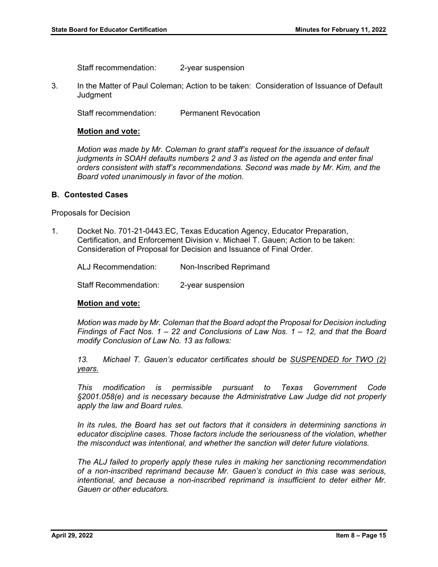Staff recommendation: 2-year suspension

3. In the Matter of Paul Coleman; Action to be taken: Consideration of Issuance of Default **Judgment** 

Staff recommendation: Permanent Revocation

#### **Motion and vote:**

*Motion was made by Mr. Coleman to grant staff's request for the issuance of default judgments in SOAH defaults numbers 2 and 3 as listed on the agenda and enter final orders consistent with staff's recommendations. Second was made by Mr. Kim, and the Board voted unanimously in favor of the motion.* 

#### **B. Contested Cases**

Proposals for Decision

1. Docket No. [701-21-0443.EC](https://701-21-0443.EC), Texas Education Agency, Educator Preparation, Certification, and Enforcement Division v. Michael T. Gauen; Action to be taken: Consideration of Proposal for Decision and Issuance of Final Order.

| ALJ Recommendation: | Non-Inscribed Reprimand |
|---------------------|-------------------------|
|                     |                         |

Staff Recommendation: 2-year suspension

# **Motion and vote:**

*Motion was made by Mr. Coleman that the Board adopt the Proposal for Decision including Findings of Fact Nos. 1 – 22 and Conclusions of Law Nos. 1 – 12, and that the Board modify Conclusion of Law No. 13 as follows:* 

*13. Michael T. Gauen's educator certificates should be SUSPENDED for TWO (2) years.* 

*This modification is permissible pursuant to Texas Government Code §2001.058(e) and is necessary because the Administrative Law Judge did not properly apply the law and Board rules.* 

In its rules, the Board has set out factors that it considers in determining sanctions in *educator discipline cases. Those factors include the seriousness of the violation, whether the misconduct was intentional, and whether the sanction will deter future violations.* 

*The ALJ failed to properly apply these rules in making her sanctioning recommendation of a non-inscribed reprimand because Mr. Gauen's conduct in this case was serious, intentional, and because a non-inscribed reprimand is insufficient to deter either Mr. Gauen or other educators.*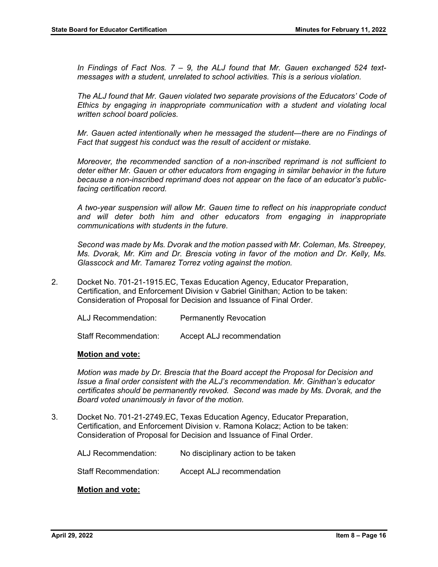*In Findings of Fact Nos. 7 – 9, the ALJ found that Mr. Gauen exchanged 524 textmessages with a student, unrelated to school activities. This is a serious violation.* 

*The ALJ found that Mr. Gauen violated two separate provisions of the Educators' Code of Ethics by engaging in inappropriate communication with a student and violating local written school board policies.* 

*Mr. Gauen acted intentionally when he messaged the student—there are no Findings of Fact that suggest his conduct was the result of accident or mistake.* 

*Moreover, the recommended sanction of a non-inscribed reprimand is not sufficient to deter either Mr. Gauen or other educators from engaging in similar behavior in the future because a non-inscribed reprimand does not appear on the face of an educator's publicfacing certification record.* 

*A two-year suspension will allow Mr. Gauen time to reflect on his inappropriate conduct and will deter both him and other educators from engaging in inappropriate communications with students in the future.* 

*Second was made by Ms. Dvorak and the motion passed with Mr. Coleman, Ms. Streepey, Ms. Dvorak, Mr. Kim and Dr. Brescia voting in favor of the motion and Dr. Kelly, Ms. Glasscock and Mr. Tamarez Torrez voting against the motion.* 

2. Docket No. [701-21-1915.EC](https://701-21-1915.EC), Texas Education Agency, Educator Preparation, Certification, and Enforcement Division v Gabriel Ginithan; Action to be taken: Consideration of Proposal for Decision and Issuance of Final Order.

| ALJ Recommendation:          | <b>Permanently Revocation</b> |
|------------------------------|-------------------------------|
| <b>Staff Recommendation:</b> | Accept ALJ recommendation     |

# **Motion and vote:**

*Motion was made by Dr. Brescia that the Board accept the Proposal for Decision and Issue a final order consistent with the ALJ's recommendation. Mr. Ginithan's educator certificates should be permanently revoked. Second was made by Ms. Dvorak, and the Board voted unanimously in favor of the motion.* 

3. Docket No. [701-21-2749.EC](https://701-21-2749.EC), Texas Education Agency, Educator Preparation, Certification, and Enforcement Division v. Ramona Kolacz; Action to be taken: Consideration of Proposal for Decision and Issuance of Final Order.

ALJ Recommendation: No disciplinary action to be taken

Staff Recommendation: Accept ALJ recommendation

# **Motion and vote:**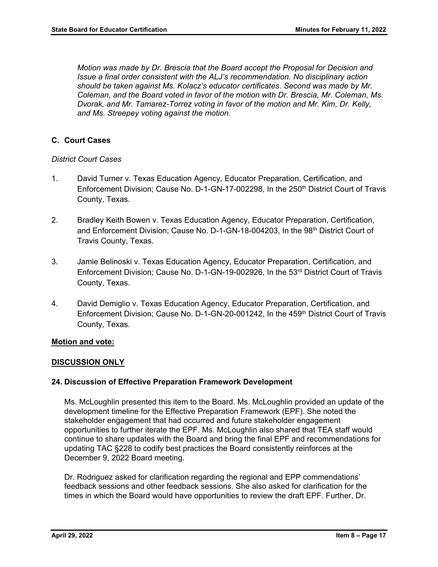*Motion was made by Dr. Brescia that the Board accept the Proposal for Decision and Issue a final order consistent with the ALJ's recommendation. No disciplinary action should be taken against Ms. Kolacz's educator certificates*. *Second was made by Mr. Coleman, and the Board voted in favor of the motion with Dr. Brescia, Mr. Coleman, Ms. Dvorak, and Mr. Tamarez-Torrez voting in favor of the motion and Mr. Kim, Dr. Kelly, and Ms. Streepey voting against the motion.* 

# **C. Court Cases**

# *District Court Cases*

- 1. David Turner v. Texas Education Agency, Educator Preparation, Certification, and Enforcement Division; Cause No. D-1-GN-17-002298, In the 250<sup>th</sup> District Court of Travis County, Texas.
- 2. Bradley Keith Bowen v. Texas Education Agency, Educator Preparation, Certification, and Enforcement Division; Cause No. D-1-GN-18-004203, In the 98th District Court of Travis County, Texas.
- 3. Jamie Belinoski v. Texas Education Agency, Educator Preparation, Certification, and Enforcement Division; Cause No. D-1-GN-19-002926, In the 53rd District Court of Travis County, Texas.
- 4. David Demiglio v. Texas Education Agency, Educator Preparation, Certification, and Enforcement Division; Cause No. D-1-GN-20-001242, In the 459th District Court of Travis County, Texas.

# **Motion and vote:**

# **DISCUSSION ONLY**

# **24. Discussion of Effective Preparation Framework Development**

Ms. McLoughlin presented this item to the Board. Ms. McLoughlin provided an update of the development timeline for the Effective Preparation Framework (EPF). She noted the stakeholder engagement that had occurred and future stakeholder engagement opportunities to further iterate the EPF. Ms. McLoughlin also shared that TEA staff would continue to share updates with the Board and bring the final EPF and recommendations for updating TAC §228 to codify best practices the Board consistently reinforces at the December 9, 2022 Board meeting.

Dr. Rodriguez asked for clarification regarding the regional and EPP commendations' feedback sessions and other feedback sessions. She also asked for clarification for the times in which the Board would have opportunities to review the draft EPF. Further, Dr.